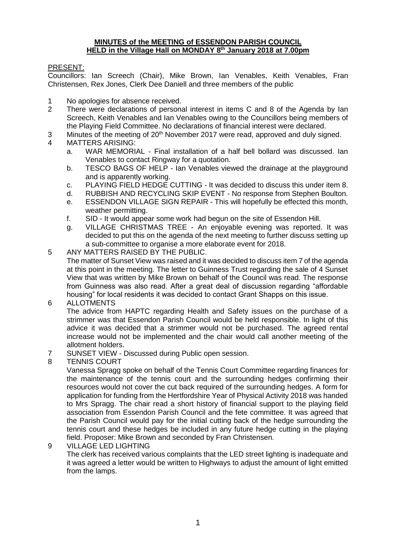#### **MINUTES of the MEETING of ESSENDON PARISH COUNCIL HELD in the Village Hall on MONDAY 8 th January 2018 at 7.00pm**

## PRESENT:

Councillors: Ian Screech (Chair), Mike Brown, Ian Venables, Keith Venables, Fran Christensen, Rex Jones, Clerk Dee Daniell and three members of the public

- 1 No apologies for absence received.
- 2 There were declarations of personal interest in items C and 8 of the Agenda by Ian Screech, Keith Venables and Ian Venables owing to the Councillors being members of the Playing Field Committee. No declarations of financial interest were declared.
- 3 Minutes of the meeting of  $20<sup>th</sup>$  November 2017 were read, approved and duly signed.<br>4 MATTERS ARISING:
- MATTERS ARISING:
	- a. WAR MEMORIAL Final installation of a half bell bollard was discussed. Ian Venables to contact Ringway for a quotation.
	- b. TESCO BAGS OF HELP Ian Venables viewed the drainage at the playground and is apparently working.
	- c. PLAYING FIELD HEDGE CUTTING It was decided to discuss this under item 8.
	- d. RUBBISH AND RECYCLING SKIP EVENT No response from Stephen Boulton.
	- e. ESSENDON VILLAGE SIGN REPAIR This will hopefully be effected this month, weather permitting.
	- f. SID It would appear some work had begun on the site of Essendon Hill.
	- g. VILLAGE CHRISTMAS TREE An enjoyable evening was reported. It was decided to put this on the agenda of the next meeting to further discuss setting up a sub-committee to organise a more elaborate event for 2018.
- 5 ANY MATTERS RAISED BY THE PUBLIC.

The matter of Sunset View was raised and it was decided to discuss item 7 of the agenda at this point in the meeting. The letter to Guinness Trust regarding the sale of 4 Sunset View that was written by Mike Brown on behalf of the Council was read. The response from Guinness was also read. After a great deal of discussion regarding "affordable housing" for local residents it was decided to contact Grant Shapps on this issue.

6 ALLOTMENTS

The advice from HAPTC regarding Health and Safety issues on the purchase of a strimmer was that Essendon Parish Council would be held responsible. In light of this advice it was decided that a strimmer would not be purchased. The agreed rental increase would not be implemented and the chair would call another meeting of the allotment holders.

- 7 SUNSET VIEW Discussed during Public open session.
- 8 TENNIS COURT

Vanessa Spragg spoke on behalf of the Tennis Court Committee regarding finances for the maintenance of the tennis court and the surrounding hedges confirming their resources would not cover the cut back required of the surrounding hedges. A form for application for funding from the Hertfordshire Year of Physical Activity 2018 was handed to Mrs Spragg. The chair read a short history of financial support to the playing field association from Essendon Parish Council and the fete committee. It was agreed that the Parish Council would pay for the initial cutting back of the hedge surrounding the tennis court and these hedges be included in any future hedge cutting in the playing field. Proposer: Mike Brown and seconded by Fran Christensen.

#### 9 VILLAGE LED LIGHTING

The clerk has received various complaints that the LED street lighting is inadequate and it was agreed a letter would be written to Highways to adjust the amount of light emitted from the lamps.